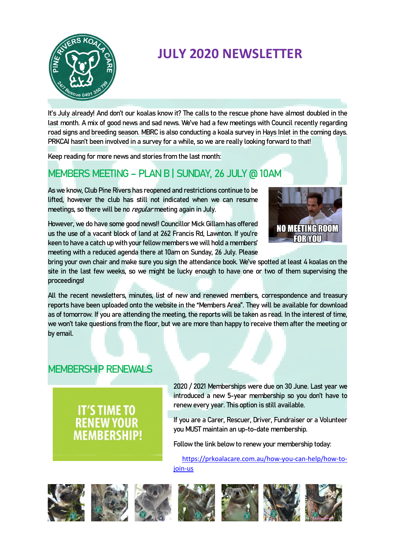

# **JULY 2020 NEWSLETTER**

It's July already! And don't our koalas know it? The calls to the rescue phone have almost doubled in the last month. A mix of good news and sad news. We've had a few meetings with Council recently regarding road signs and breeding season. MBRC is also conducting a koala survey in Hays Inlet in the coming days. PRKCAI hasn't been involved in a survey for a while, so we are really looking forward to that!

Keep reading for more news and stories from the last month:

# MEMBERS MEETING – PLAN B | SUNDAY, 26 JULY @ 10AM

As we know, Club Pine Rivers has reopened and restrictions continue to be lifted, however the club has still not indicated when we can resume meetings, so there will be no *regular* meeting again in July.

However, we do have some good news!! Councillor Mick Gillam has offered us the use of a vacant block of land at 262 Francis Rd, Lawnton. If you're keen to have a catch up with your fellow members we will hold a members' meeting with a reduced agenda there at 10am on Sunday, 26 July. Please



bring your own chair and make sure you sign the attendance book. We've spotted at least 4 koalas on the site in the last few weeks, so we might be lucky enough to have one or two of them supervising the proceedings!

All the recent newsletters, minutes, list of new and renewed members, correspondence and treasury reports have been uploaded onto the website in the "Members Area". They will be available for download as of tomorrow. If you are attending the meeting, the reports will be taken as read. In the interest of time, we won't take questions from the floor, but we are more than happy to receive them after the meeting or by email.

## MEMBERSHIP RENEWALS

**IT'S TIME TO RENEW YOU MEMBERSHIP**  2020 / 2021 Memberships were due on 30 June. Last year we introduced a new 5-year membership so you don't have to renew every year. This option is still available.

If you are a Carer, Rescuer, Driver, Fundraiser or a Volunteer you MUST maintain an up-to-date membership.

Follow the link below to renew your membership today:

[https://prkoalacare.com.au/how-you-can-help/how-to](https://prkoalacare.com.au/how-you-can-help/how-to-join-us)[join-us](https://prkoalacare.com.au/how-you-can-help/how-to-join-us)













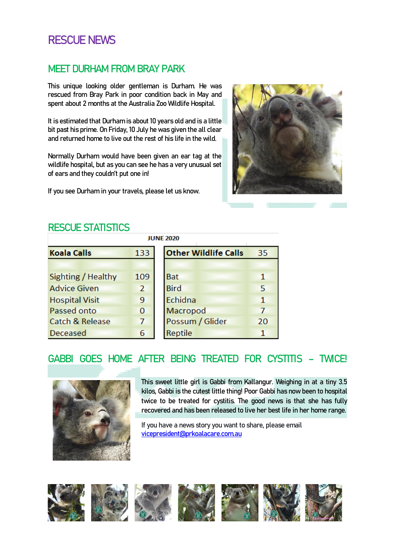# RESCUE NEWS

### MEET DURHAM FROM BRAY PARK

This unique looking older gentleman is Durham. He was rescued from Bray Park in poor condition back in May and spent about 2 months at the Australia Zoo Wildlife Hospital.

It is estimated that Durham is about 10 years old and is a little bit past his prime. On Friday, 10 July he was given the all clear and returned home to live out the rest of his life in the wild.

Normally Durham would have been given an ear tag at the wildlife hospital, but as you can see he has a very unusual set of ears and they couldn't put one in!

If you see Durham in your travels, please let us know.



### RESCUE STATISTICS

| <b>JUNE 2020</b>           |                |                             |  |  |  |
|----------------------------|----------------|-----------------------------|--|--|--|
| <b>Koala Calls</b>         | 133            | <b>Other Wildlife Calls</b> |  |  |  |
|                            |                |                             |  |  |  |
| Sighting / Healthy         | 109            | <b>Bat</b>                  |  |  |  |
| <b>Advice Given</b>        | $\overline{2}$ | <b>Bird</b>                 |  |  |  |
| <b>Hospital Visit</b>      | 9              | Echidna                     |  |  |  |
| Passed onto                | $\overline{0}$ | Macropod                    |  |  |  |
| <b>Catch &amp; Release</b> | 7              | Possum / Glider             |  |  |  |
| <b>Deceased</b>            | 6              | <b>Reptile</b>              |  |  |  |

# GABBI GOES HOME AFTER BEING TREATED FOR CYSTITIS – TWICE!



This sweet little girl is Gabbi from Kallangur. Weighing in at a tiny 3.5 kilos, Gabbi is the cutest little thing! Poor Gabbi has now been to hospital twice to be treated for cystitis. The good news is that she has fully recovered and has been released to live her best life in her home range.

35

 $\mathbf{1}$ 5  $\mathbf{1}$  $\overline{7}$ 20  $\overline{1}$ 

If you have a news story you want to share, please email [vicepresident@prkoalacare.com.au](mailto:vicepresident@prkoalacare.com.au)

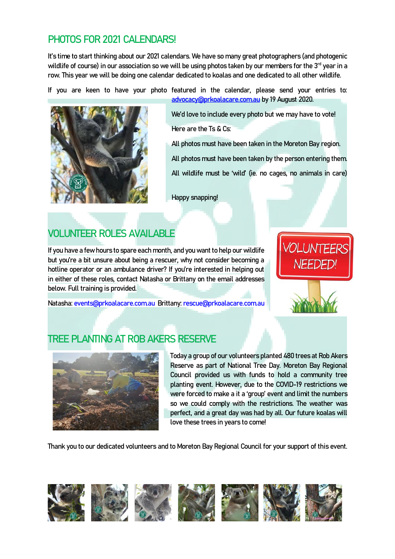# PHOTOS FOR 2021 CALENDARS!

It's time to start thinking about our 2021 calendars. We have so many great photographers (and photogenic wildlife of course) in our association so we will be using photos taken by our members for the 3<sup>rd</sup> year in a row. This year we will be doing one calendar dedicated to koalas and one dedicated to all other wildlife.

If you are keen to have your photo featured in the calendar, please send your entries to:



[advocacy@prkoalacare.com.au](mailto:advocacy@prkoalacare.com.au) by 19 August 2020.

We'd love to include every photo but we may have to vote! Here are the Ts & Cs:

All photos must have been taken in the Moreton Bay region. All photos must have been taken by the person entering them. All wildlife must be 'wild' (ie. no cages, no animals in care)

Happy snapping!

# VOLUNTEER ROLES AVAILABLE

If you have a few hours to spare each month, and you want to help our wildlife but you're a bit unsure about being a rescuer, why not consider becoming a hotline operator or an ambulance driver? If you're interested in helping out in either of these roles, contact Natasha or Brittany on the email addresses below. Full training is provided.

Natasha[: events@prkoalacare.com.au](mailto:events@prkoalacare.com.au) Brittany: [rescue@prkoalacare.com.au](mailto:rescue@prkoalacare.com.au)

# TREE PLANTING AT ROB AKERS RESERVE



Today a group of our volunteers planted 480 trees at Rob Akers Reserve as part of National Tree Day. Moreton Bay Regional Council provided us with funds to hold a community tree planting event. However, due to the COVID-19 restrictions we were forced to make a it a 'group' event and limit the numbers so we could comply with the restrictions. The weather was perfect, and a great day was had by all. Our future koalas will love these trees in years to come!

Thank you to our dedicated volunteers and to Moreton Bay Regional Council for your support of this event.

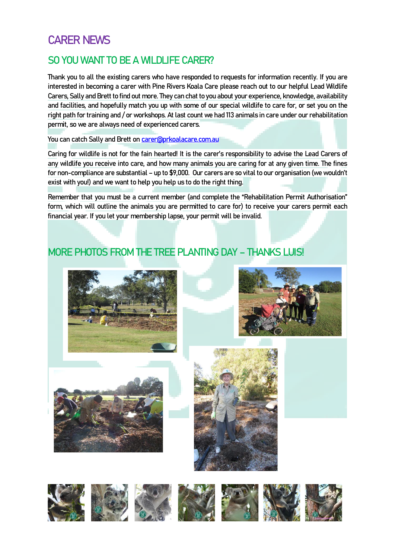# CARER NEWS

## SO YOU WANT TO BE A WILDLIFE CARER?

Thank you to all the existing carers who have responded to requests for information recently. If you are interested in becoming a carer with Pine Rivers Koala Care please reach out to our helpful Lead Wildlife Carers, Sally and Brett to find out more. They can chat to you about your experience, knowledge, availability and facilities, and hopefully match you up with some of our special wildlife to care for, or set you on the right path for training and / or workshops. At last count we had 113 animals in care under our rehabilitation permit, so we are always need of experienced carers.

You can catch Sally and Brett on [carer@prkoalacare.com.au](mailto:carer@prkoalacare.com.au)

Caring for wildlife is not for the fain hearted! It is the carer's responsibility to advise the Lead Carers of any wildlife you receive into care, and how many animals you are caring for at any given time. The fines for non-compliance are substantial – up to \$9,000. Our carers are so vital to our organisation (we wouldn't exist with you!) and we want to help you help us to do the right thing.

Remember that you must be a current member (and complete the "Rehabilitation Permit Authorisation" form, which will outline the animals you are permitted to care for) to receive your carers permit each financial year. If you let your membership lapse, your permit will be invalid.

# MORE PHOTOS FROM THE TREE PLANTING DAY – THANKS LUIS!